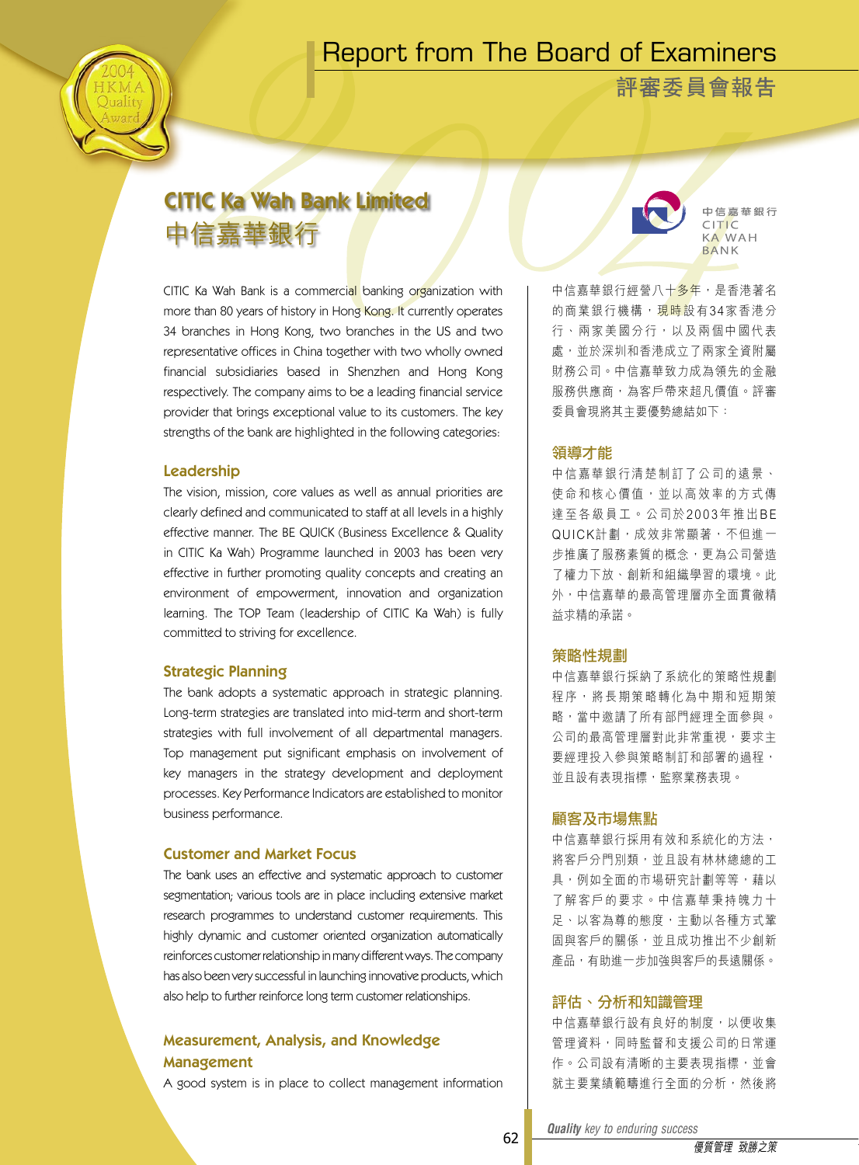# Report from The Board of Examiners



**評審委員會報告**

# CITIC Ka Wah Bank Limited 中信嘉華銀行

CITIC Ka Wah Bank is a commercial banking organization with more than 80 years of history in Hong Kong. It currently operates 34 branches in Hong Kong, two branches in the US and two representative offices in China together with two wholly owned financial subsidiaries based in Shenzhen and Hong Kong respectively. The company aims to be a leading financial service provider that brings exceptional value to its customers. The key strengths of the bank are highlighted in the following categories:

#### Leadership

The vision, mission, core values as well as annual priorities are clearly defined and communicated to staff at all levels in a highly effective manner. The BE QUICK (Business Excellence & Quality in CITIC Ka Wah) Programme launched in 2003 has been very effective in further promoting quality concepts and creating an environment of empowerment, innovation and organization learning. The TOP Team (leadership of CITIC Ka Wah) is fully committed to striving for excellence.

#### Strategic Planning

The bank adopts a systematic approach in strategic planning. Long-term strategies are translated into mid-term and short-term strategies with full involvement of all departmental managers. Top management put significant emphasis on involvement of key managers in the strategy development and deployment processes. Key Performance Indicators are established to monitor business performance.

#### Customer and Market Focus

The bank uses an effective and systematic approach to customer segmentation; various tools are in place including extensive market research programmes to understand customer requirements. This highly dynamic and customer oriented organization automatically reinforces customer relationship in many different ways. The company has also been very successful in launching innovative products, which also help to further reinforce long term customer relationships.

### Measurement, Analysis, and Knowledge Management

A good system is in place to collect management information



中信嘉華銀行 CITIC **KA WAH** RANK

中信嘉華銀行經營八十多年,是香港著名 的商業銀行機構,現時設有34家香港分 行、兩家美國分行,以及兩個中國代表 處,並於深圳和香港成立了兩家全資附屬 財務公司。中信嘉華致力成為領先的金融 服務供應商,為客戶帶來超凡價值。評審 委員會現將其主要優勢總結如下:

#### 領導才能

中 信 嘉 華 銀 行 清 楚 制 訂 了 公 司 的 遠 景 、 使命和核心價值,並以高效率的方式傳 達至各級員工。公司於2003年推出BE QUICK計劃,成效非常顯著,不但進一 步推廣了服務素質的概念,更為公司營造 了權力下放、創新和組織學習的環境。此 外,中信嘉華的最高管理層亦全面貫徹精 益求精的承諾。

#### 策略性規劃

中信嘉華銀行採納了系統化的策略性規劃 程序, 將長期策略轉化為中期和短期策 略,當中邀請了所有部門經理全面參與。 公司的最高管理層對此非常重視,要求主 要經理投入參與策略制訂和部署的過程, 並且設有表現指標,監察業務表現。

#### 顧客及市場焦點

中信嘉華銀行採用有效和系統化的方法, 將客戶分門別類,並且設有林林總總的工 具,例如全面的市場研究計劃等等,藉以 了 解 客 戶 的 要 求 。 中 信 嘉 華 秉 持 魄 力 十 足、以客為尊的態度,主動以各種方式鞏 固與客戶的關係,並且成功推出不少創新 產品,有助進一步加強與客戶的長遠關係。

#### 評估、分析和知識管理

中信嘉華銀行設有良好的制度,以便收集 管理資料,同時監督和支援公司的日常運 作。公司設有清晰的主要表現指標,並會 就主要業績範疇進行全面的分析,然後將

*Quality key to enduring success Quality key to enduring success*